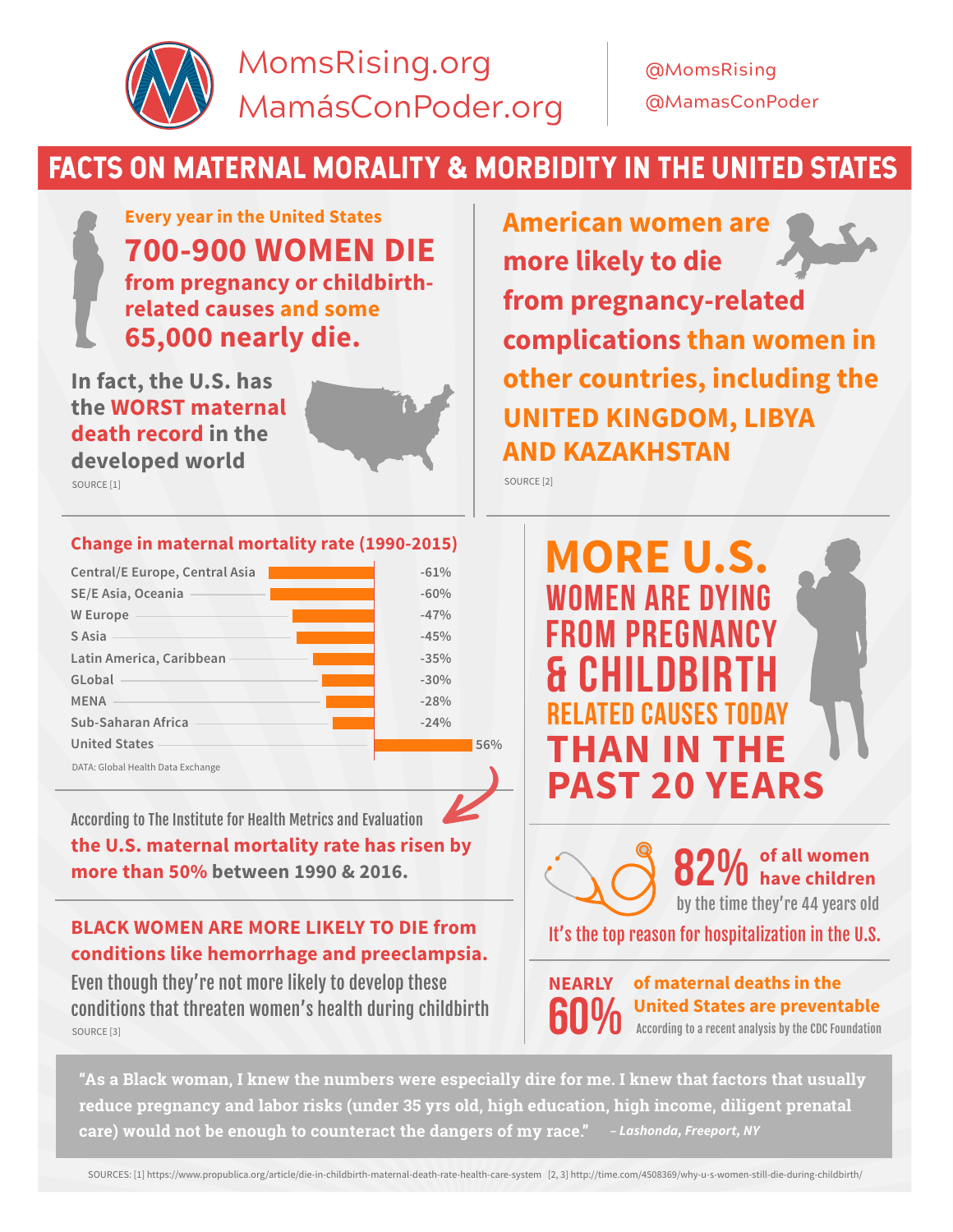

## FACTS ON MATERNAL MORALITY & MORBIDITY IN THE UNITED STATES

**Every year in the United States 700-900 WOMEN DIE from pregnancy or childbirthrelated causes and some 65,000 nearly die.**

**Change in maternal mortality rate (1990-2015)**

**In fact, the U.S. has the WORST maternal death record in the developed world**

**Central/E Europe, Central Asia**

**Latin America, Caribbean**

**SE/E Asia, Oceania**

**Sub-Saharan Africa United States**

DATA: Global Health Data Exchange

**W Europe S Asia**

**GLobal MENA**

**-61% -60% -47% -45% -35% -30% -28% -24%** **American women are more likely to die from pregnancy-related complications than women in other countries, including the UNITED KINGDOM, LIBYA AND KAZAKHSTAN**

SOURCE [1] SOURCE [2]

**56%**

## **MORE U.S.** WOMEN ARE DYING FROM PREGNANCY **CHILDBIR** RELATED CAUSES TODAY **THAN IN THE PAST 20 YEARS**

According to The Institute for Health Metrics and Evaluation **the U.S. maternal mortality rate has risen by more than 50% between 1990 & 2016.**

**BLACK WOMEN ARE MORE LIKELY TO DIE from conditions like hemorrhage and preeclampsia.**

Even though they're not more likely to develop these conditions that threaten women's health during childbirth SOURCE [3]



60% **NEARLY**

**of maternal deaths in the United States are preventable** According to a recent analysis by the CDC Foundation

**"As a Black woman, I knew the numbers were especially dire for me. I knew that factors that usually reduce pregnancy and labor risks (under 35 yrs old, high education, high income, diligent prenatal care) would not be enough to counteract the dangers of my race."** *– Lashonda, Freeport, NY*

SOURCES: [1] https://www.propublica.org/article/die-in-childbirth-maternal-death-rate-health-care-system [2, 3] http://time.com/4508369/why-u-s-women-still-die-during-childbirth/